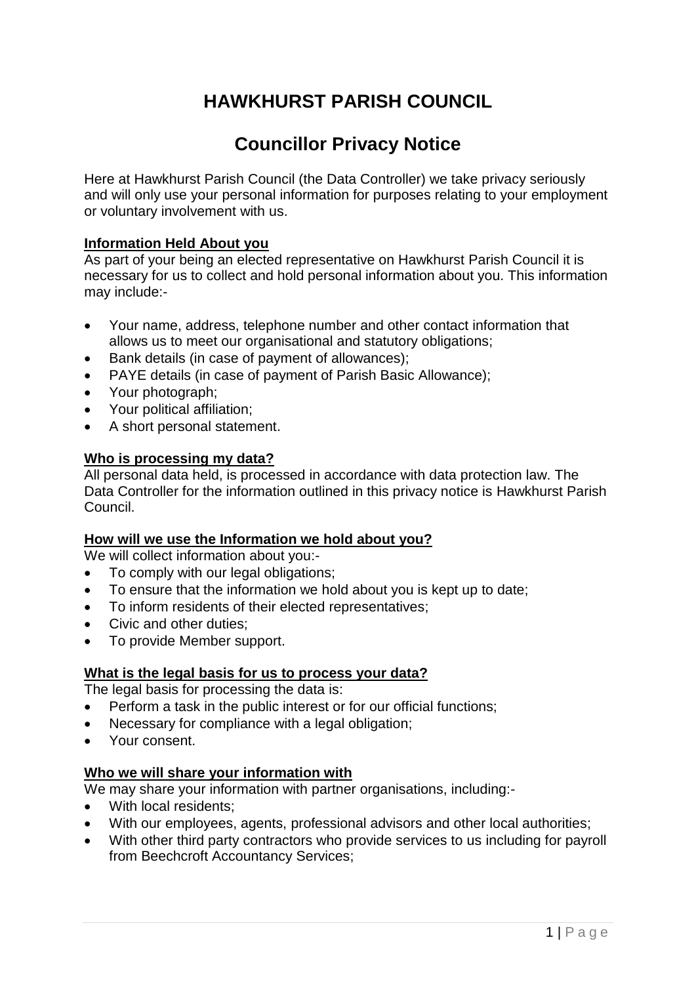## **HAWKHURST PARISH COUNCIL**

## **Councillor Privacy Notice**

Here at Hawkhurst Parish Council (the Data Controller) we take privacy seriously and will only use your personal information for purposes relating to your employment or voluntary involvement with us.

## **Information Held About you**

As part of your being an elected representative on Hawkhurst Parish Council it is necessary for us to collect and hold personal information about you. This information may include:-

- Your name, address, telephone number and other contact information that allows us to meet our organisational and statutory obligations;
- Bank details (in case of payment of allowances);
- PAYE details (in case of payment of Parish Basic Allowance);
- Your photograph;
- Your political affiliation;
- A short personal statement.

#### **Who is processing my data?**

All personal data held, is processed in accordance with data protection law. The Data Controller for the information outlined in this privacy notice is Hawkhurst Parish Council.

#### **How will we use the Information we hold about you?**

We will collect information about you:-

- To comply with our legal obligations;
- To ensure that the information we hold about you is kept up to date;
- To inform residents of their elected representatives;
- Civic and other duties;
- To provide Member support.

#### **What is the legal basis for us to process your data?**

The legal basis for processing the data is:

- Perform a task in the public interest or for our official functions;
- Necessary for compliance with a legal obligation:
- Your consent.

## **Who we will share your information with**

We may share your information with partner organisations, including:-

- With local residents;
- With our employees, agents, professional advisors and other local authorities;
- With other third party contractors who provide services to us including for payroll from Beechcroft Accountancy Services;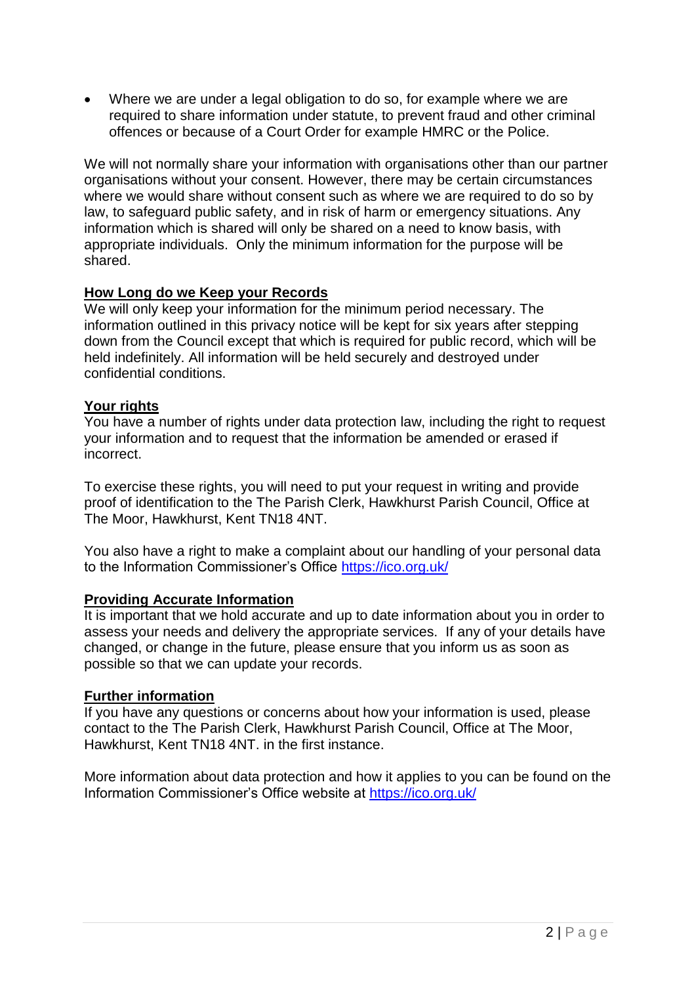Where we are under a legal obligation to do so, for example where we are required to share information under statute, to prevent fraud and other criminal offences or because of a Court Order for example HMRC or the Police.

We will not normally share your information with organisations other than our partner organisations without your consent. However, there may be certain circumstances where we would share without consent such as where we are required to do so by law, to safeguard public safety, and in risk of harm or emergency situations. Any information which is shared will only be shared on a need to know basis, with appropriate individuals. Only the minimum information for the purpose will be shared.

#### **How Long do we Keep your Records**

We will only keep your information for the minimum period necessary. The information outlined in this privacy notice will be kept for six years after stepping down from the Council except that which is required for public record, which will be held indefinitely. All information will be held securely and destroyed under confidential conditions.

#### **Your rights**

You have a number of rights under data protection law, including the right to request your information and to request that the information be amended or erased if incorrect.

To exercise these rights, you will need to put your request in writing and provide proof of identification to the The Parish Clerk, Hawkhurst Parish Council, Office at The Moor, Hawkhurst, Kent TN18 4NT.

You also have a right to make a complaint about our handling of your personal data to the Information Commissioner's Office<https://ico.org.uk/>

#### **Providing Accurate Information**

It is important that we hold accurate and up to date information about you in order to assess your needs and delivery the appropriate services. If any of your details have changed, or change in the future, please ensure that you inform us as soon as possible so that we can update your records.

#### **Further information**

If you have any questions or concerns about how your information is used, please contact to the The Parish Clerk, Hawkhurst Parish Council, Office at The Moor, Hawkhurst, Kent TN18 4NT. in the first instance.

More information about data protection and how it applies to you can be found on the Information Commissioner's Office website at<https://ico.org.uk/>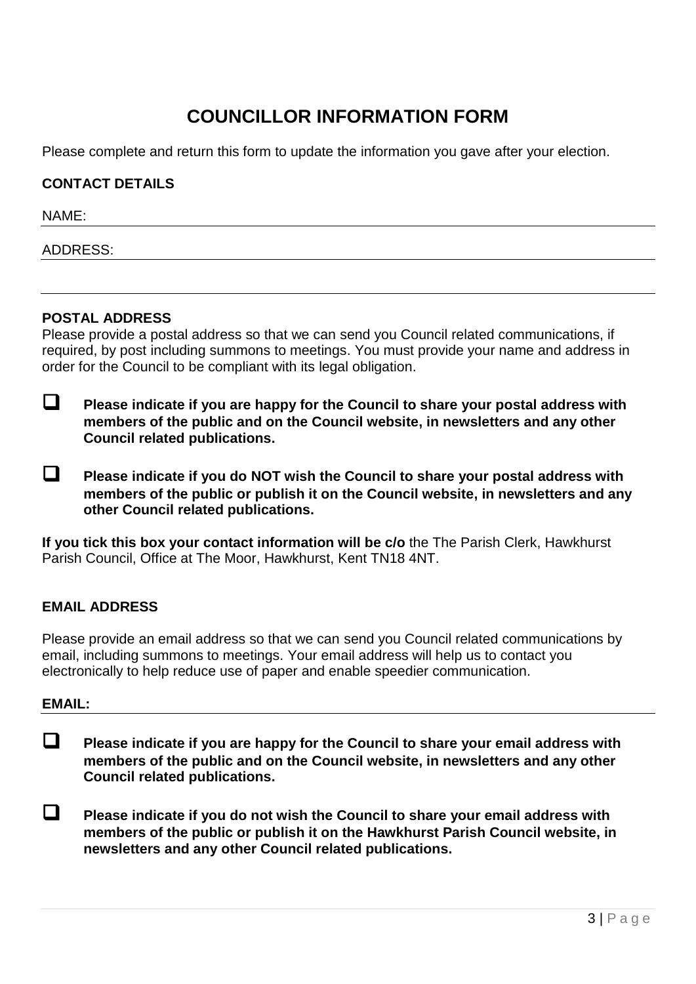# **COUNCILLOR INFORMATION FORM**

Please complete and return this form to update the information you gave after your election.

#### **CONTACT DETAILS**

NAME:

ADDRESS:

#### **POSTAL ADDRESS**

Please provide a postal address so that we can send you Council related communications, if required, by post including summons to meetings. You must provide your name and address in order for the Council to be compliant with its legal obligation.

- **Please indicate if you are happy for the Council to share your postal address with members of the public and on the Council website, in newsletters and any other Council related publications.**
- **Please indicate if you do NOT wish the Council to share your postal address with members of the public or publish it on the Council website, in newsletters and any other Council related publications.**

**If you tick this box your contact information will be c/o** the The Parish Clerk, Hawkhurst Parish Council, Office at The Moor, Hawkhurst, Kent TN18 4NT.

## **EMAIL ADDRESS**

Please provide an email address so that we can send you Council related communications by email, including summons to meetings. Your email address will help us to contact you electronically to help reduce use of paper and enable speedier communication.

#### **EMAIL:**

 **Please indicate if you are happy for the Council to share your email address with members of the public and on the Council website, in newsletters and any other Council related publications.**

 **Please indicate if you do not wish the Council to share your email address with members of the public or publish it on the Hawkhurst Parish Council website, in newsletters and any other Council related publications.**